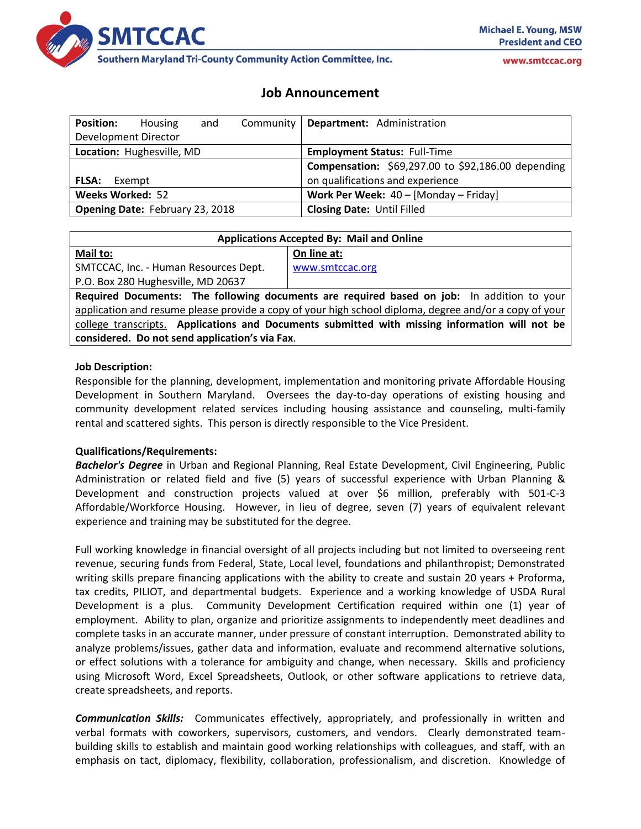

**Southern Maryland Tri-County Community Action Committee, Inc.** 

# **Job Announcement**

| <b>Position:</b>                       | Housing | and |  | Community   Department: Administration             |
|----------------------------------------|---------|-----|--|----------------------------------------------------|
| Development Director                   |         |     |  |                                                    |
| Location: Hughesville, MD              |         |     |  | <b>Employment Status: Full-Time</b>                |
|                                        |         |     |  | Compensation: \$69,297.00 to \$92,186.00 depending |
| FLSA:                                  | Exempt  |     |  | on qualifications and experience                   |
| <b>Weeks Worked: 52</b>                |         |     |  | Work Per Week: 40 - [Monday - Friday]              |
| <b>Opening Date: February 23, 2018</b> |         |     |  | <b>Closing Date: Until Filled</b>                  |

| <b>Applications Accepted By: Mail and Online</b>                                                       |                 |  |  |  |  |
|--------------------------------------------------------------------------------------------------------|-----------------|--|--|--|--|
| Mail to:                                                                                               | On line at:     |  |  |  |  |
| SMTCCAC, Inc. - Human Resources Dept.                                                                  | www.smtccac.org |  |  |  |  |
| P.O. Box 280 Hughesville, MD 20637                                                                     |                 |  |  |  |  |
| Required Documents: The following documents are required based on job: In addition to your             |                 |  |  |  |  |
| application and resume please provide a copy of your high school diploma, degree and/or a copy of your |                 |  |  |  |  |
| college transcripts. Applications and Documents submitted with missing information will not be         |                 |  |  |  |  |
| considered. Do not send application's via Fax.                                                         |                 |  |  |  |  |
|                                                                                                        |                 |  |  |  |  |

#### **Job Description:**

Responsible for the planning, development, implementation and monitoring private Affordable Housing Development in Southern Maryland. Oversees the day-to-day operations of existing housing and community development related services including housing assistance and counseling, multi-family rental and scattered sights. This person is directly responsible to the Vice President.

#### **Qualifications/Requirements:**

*Bachelor's Degree* in Urban and Regional Planning, Real Estate Development, Civil Engineering, Public Administration or related field and five (5) years of successful experience with Urban Planning & Development and construction projects valued at over \$6 million, preferably with 501-C-3 Affordable/Workforce Housing. However, in lieu of degree, seven (7) years of equivalent relevant experience and training may be substituted for the degree.

Full working knowledge in financial oversight of all projects including but not limited to overseeing rent revenue, securing funds from Federal, State, Local level, foundations and philanthropist; Demonstrated writing skills prepare financing applications with the ability to create and sustain 20 years + Proforma, tax credits, PILIOT, and departmental budgets. Experience and a working knowledge of USDA Rural Development is a plus. Community Development Certification required within one (1) year of employment. Ability to plan, organize and prioritize assignments to independently meet deadlines and complete tasks in an accurate manner, under pressure of constant interruption. Demonstrated ability to analyze problems/issues, gather data and information, evaluate and recommend alternative solutions, or effect solutions with a tolerance for ambiguity and change, when necessary. Skills and proficiency using Microsoft Word, Excel Spreadsheets, Outlook, or other software applications to retrieve data, create spreadsheets, and reports.

*Communication Skills:* Communicates effectively, appropriately, and professionally in written and verbal formats with coworkers, supervisors, customers, and vendors. Clearly demonstrated teambuilding skills to establish and maintain good working relationships with colleagues, and staff, with an emphasis on tact, diplomacy, flexibility, collaboration, professionalism, and discretion. Knowledge of